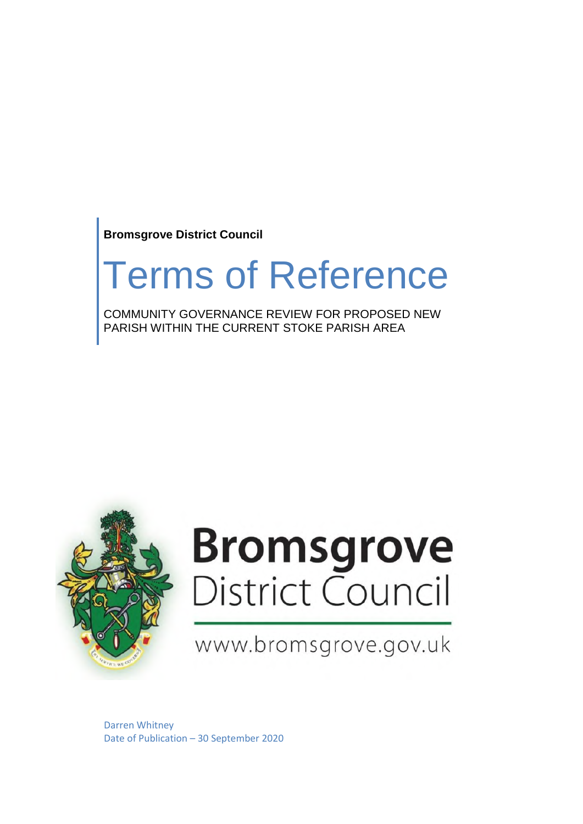**Bromsgrove District Council**

## Terms of Reference

COMMUNITY GOVERNANCE REVIEW FOR PROPOSED NEW PARISH WITHIN THE CURRENT STOKE PARISH AREA



# **Bromsgrove**<br>District Council

### www.bromsgrove.gov.uk

Darren Whitney Date of Publication – 30 September 2020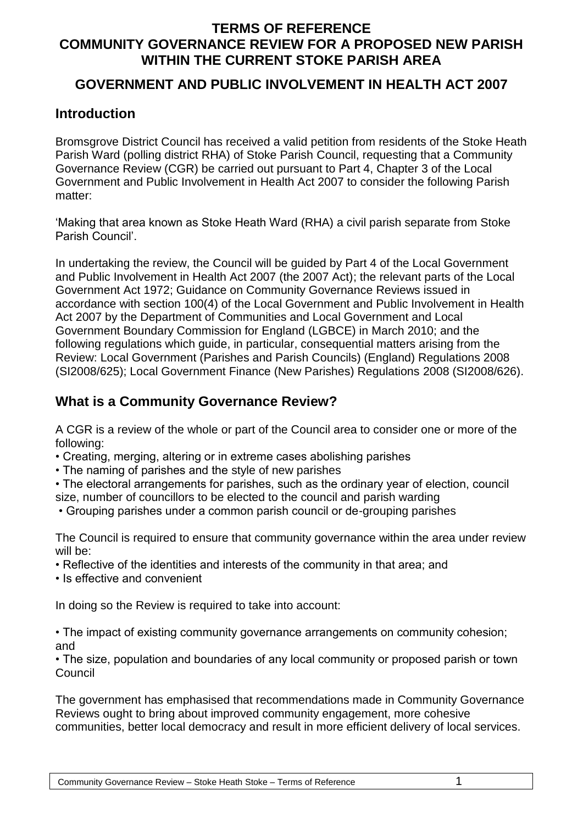#### **GOVERNMENT AND PUBLIC INVOLVEMENT IN HEALTH ACT 2007**

#### **Introduction**

Bromsgrove District Council has received a valid petition from residents of the Stoke Heath Parish Ward (polling district RHA) of Stoke Parish Council, requesting that a Community Governance Review (CGR) be carried out pursuant to Part 4, Chapter 3 of the Local Government and Public Involvement in Health Act 2007 to consider the following Parish matter:

'Making that area known as Stoke Heath Ward (RHA) a civil parish separate from Stoke Parish Council'.

In undertaking the review, the Council will be guided by Part 4 of the Local Government and Public Involvement in Health Act 2007 (the 2007 Act); the relevant parts of the Local Government Act 1972; Guidance on Community Governance Reviews issued in accordance with section 100(4) of the Local Government and Public Involvement in Health Act 2007 by the Department of Communities and Local Government and Local Government Boundary Commission for England (LGBCE) in March 2010; and the following regulations which guide, in particular, consequential matters arising from the Review: Local Government (Parishes and Parish Councils) (England) Regulations 2008 (SI2008/625); Local Government Finance (New Parishes) Regulations 2008 (SI2008/626).

#### **What is a Community Governance Review?**

A CGR is a review of the whole or part of the Council area to consider one or more of the following:

- Creating, merging, altering or in extreme cases abolishing parishes
- The naming of parishes and the style of new parishes
- The electoral arrangements for parishes, such as the ordinary year of election, council size, number of councillors to be elected to the council and parish warding
- Grouping parishes under a common parish council or de-grouping parishes

The Council is required to ensure that community governance within the area under review will be:

- Reflective of the identities and interests of the community in that area; and
- Is effective and convenient

In doing so the Review is required to take into account:

• The impact of existing community governance arrangements on community cohesion; and

• The size, population and boundaries of any local community or proposed parish or town **Council** 

The government has emphasised that recommendations made in Community Governance Reviews ought to bring about improved community engagement, more cohesive communities, better local democracy and result in more efficient delivery of local services.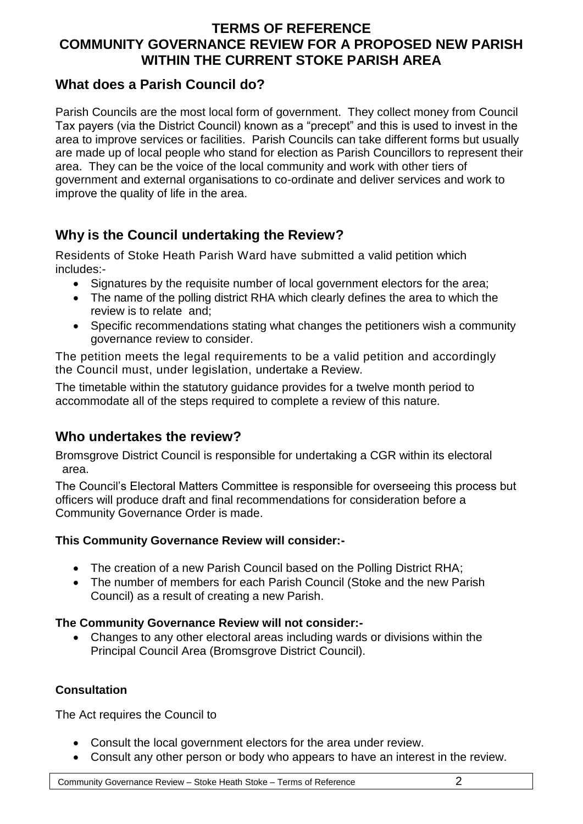#### **What does a Parish Council do?**

Parish Councils are the most local form of government. They collect money from Council Tax payers (via the District Council) known as a "precept" and this is used to invest in the area to improve services or facilities. Parish Councils can take different forms but usually are made up of local people who stand for election as Parish Councillors to represent their area. They can be the voice of the local community and work with other tiers of government and external organisations to co-ordinate and deliver services and work to improve the quality of life in the area.

#### **Why is the Council undertaking the Review?**

Residents of Stoke Heath Parish Ward have submitted a valid petition which includes:-

- Signatures by the requisite number of local government electors for the area;
- The name of the polling district RHA which clearly defines the area to which the review is to relate and;
- Specific recommendations stating what changes the petitioners wish a community governance review to consider.

The petition meets the legal requirements to be a valid petition and accordingly the Council must, under legislation, undertake a Review.

The timetable within the statutory guidance provides for a twelve month period to accommodate all of the steps required to complete a review of this nature.

#### **Who undertakes the review?**

Bromsgrove District Council is responsible for undertaking a CGR within its electoral area.

The Council's Electoral Matters Committee is responsible for overseeing this process but officers will produce draft and final recommendations for consideration before a Community Governance Order is made.

#### **This Community Governance Review will consider:-**

- The creation of a new Parish Council based on the Polling District RHA;
- The number of members for each Parish Council (Stoke and the new Parish Council) as a result of creating a new Parish.

#### **The Community Governance Review will not consider:-**

 Changes to any other electoral areas including wards or divisions within the Principal Council Area (Bromsgrove District Council).

#### **Consultation**

The Act requires the Council to

- Consult the local government electors for the area under review.
- Consult any other person or body who appears to have an interest in the review.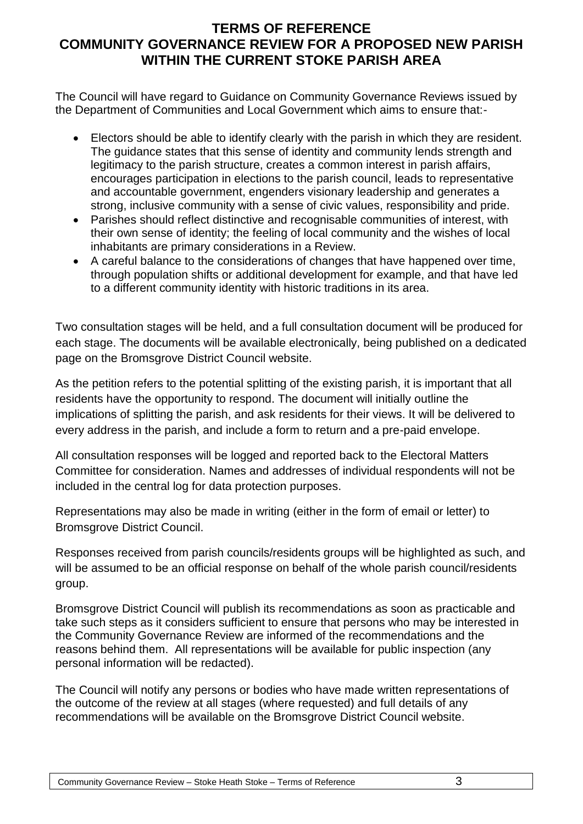The Council will have regard to Guidance on Community Governance Reviews issued by the Department of Communities and Local Government which aims to ensure that:-

- Electors should be able to identify clearly with the parish in which they are resident. The guidance states that this sense of identity and community lends strength and legitimacy to the parish structure, creates a common interest in parish affairs, encourages participation in elections to the parish council, leads to representative and accountable government, engenders visionary leadership and generates a strong, inclusive community with a sense of civic values, responsibility and pride.
- Parishes should reflect distinctive and recognisable communities of interest, with their own sense of identity; the feeling of local community and the wishes of local inhabitants are primary considerations in a Review.
- A careful balance to the considerations of changes that have happened over time, through population shifts or additional development for example, and that have led to a different community identity with historic traditions in its area.

Two consultation stages will be held, and a full consultation document will be produced for each stage. The documents will be available electronically, being published on a dedicated page on the Bromsgrove District Council website.

As the petition refers to the potential splitting of the existing parish, it is important that all residents have the opportunity to respond. The document will initially outline the implications of splitting the parish, and ask residents for their views. It will be delivered to every address in the parish, and include a form to return and a pre-paid envelope.

All consultation responses will be logged and reported back to the Electoral Matters Committee for consideration. Names and addresses of individual respondents will not be included in the central log for data protection purposes.

Representations may also be made in writing (either in the form of email or letter) to Bromsgrove District Council.

Responses received from parish councils/residents groups will be highlighted as such, and will be assumed to be an official response on behalf of the whole parish council/residents group.

Bromsgrove District Council will publish its recommendations as soon as practicable and take such steps as it considers sufficient to ensure that persons who may be interested in the Community Governance Review are informed of the recommendations and the reasons behind them. All representations will be available for public inspection (any personal information will be redacted).

The Council will notify any persons or bodies who have made written representations of the outcome of the review at all stages (where requested) and full details of any recommendations will be available on the Bromsgrove District Council website.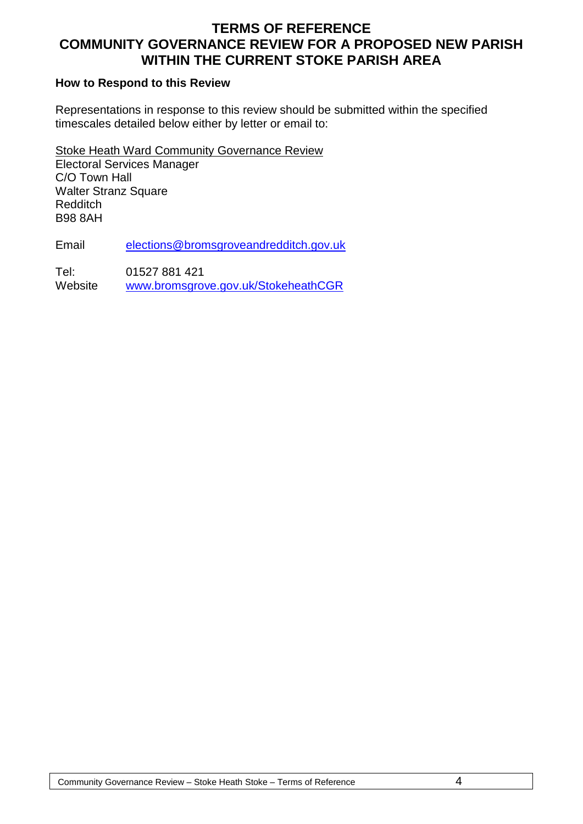#### **How to Respond to this Review**

Representations in response to this review should be submitted within the specified timescales detailed below either by letter or email to:

Stoke Heath Ward Community Governance Review Electoral Services Manager C/O Town Hall Walter Stranz Square **Redditch** B98 8AH

Email [elections@bromsgroveandredditch.gov.uk](mailto:elections@bromsgroveandredditch.gov.uk)

Tel: 01527 881 421 Website [www.bromsgrove.gov.uk/StokeheathCGR](http://www.bromsgrove.gov.uk/StokeheathCGR)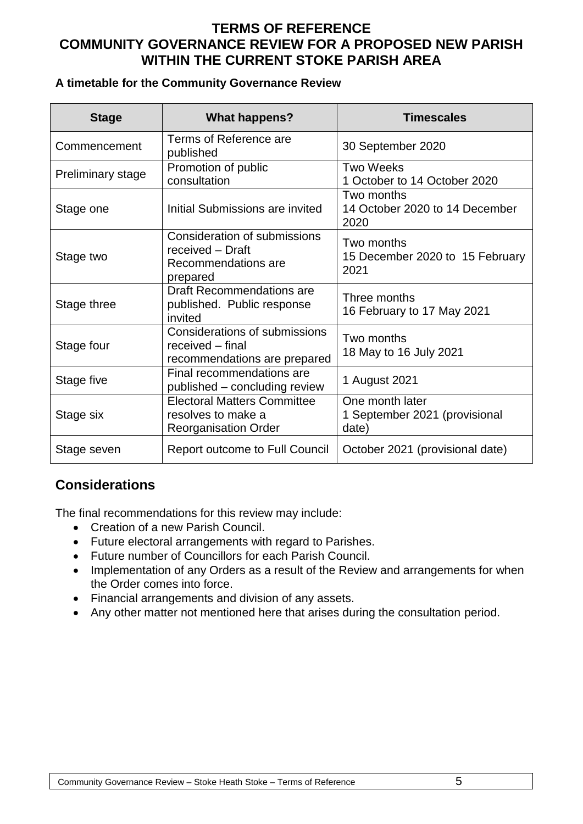#### **A timetable for the Community Governance Review**

| <b>Stage</b>             | <b>What happens?</b>                                                                    | <b>Timescales</b>                                         |  |
|--------------------------|-----------------------------------------------------------------------------------------|-----------------------------------------------------------|--|
| Commencement             | Terms of Reference are<br>published                                                     | 30 September 2020                                         |  |
| <b>Preliminary stage</b> | Promotion of public<br>consultation                                                     | <b>Two Weeks</b><br>1 October to 14 October 2020          |  |
| Stage one                | Initial Submissions are invited                                                         | Two months<br>14 October 2020 to 14 December<br>2020      |  |
| Stage two                | Consideration of submissions<br>received - Draft<br>Recommendations are<br>prepared     | Two months<br>15 December 2020 to 15 February<br>2021     |  |
| Stage three              | <b>Draft Recommendations are</b><br>published. Public response<br>invited               | Three months<br>16 February to 17 May 2021                |  |
| Stage four               | Considerations of submissions<br>received - final<br>recommendations are prepared       | Two months<br>18 May to 16 July 2021                      |  |
| Stage five               | Final recommendations are<br>published – concluding review                              | 1 August 2021                                             |  |
| Stage six                | <b>Electoral Matters Committee</b><br>resolves to make a<br><b>Reorganisation Order</b> | One month later<br>1 September 2021 (provisional<br>date) |  |
| Stage seven              | <b>Report outcome to Full Council</b>                                                   | October 2021 (provisional date)                           |  |

#### **Considerations**

The final recommendations for this review may include:

- Creation of a new Parish Council.
- Future electoral arrangements with regard to Parishes.
- Future number of Councillors for each Parish Council.
- Implementation of any Orders as a result of the Review and arrangements for when the Order comes into force.
- Financial arrangements and division of any assets.
- Any other matter not mentioned here that arises during the consultation period.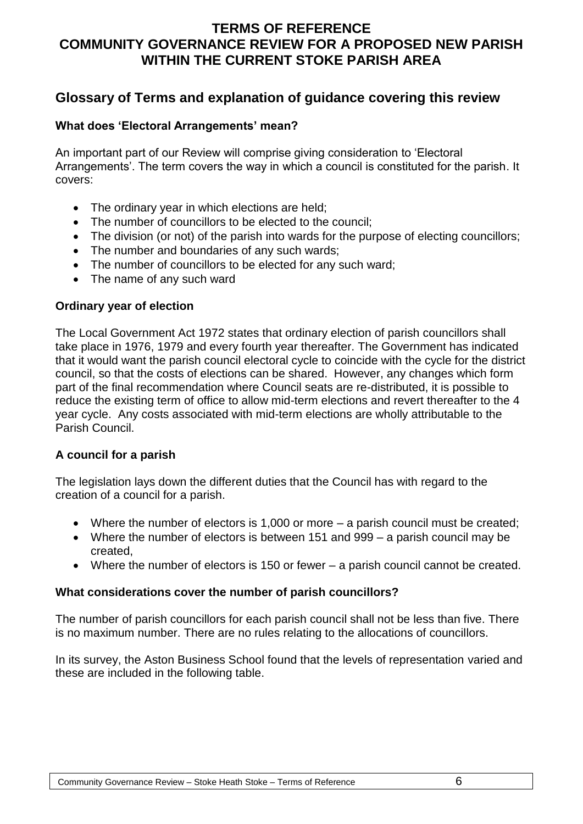#### **Glossary of Terms and explanation of guidance covering this review**

#### **What does 'Electoral Arrangements' mean?**

An important part of our Review will comprise giving consideration to 'Electoral Arrangements'. The term covers the way in which a council is constituted for the parish. It covers:

- The ordinary year in which elections are held;
- The number of councillors to be elected to the council:
- The division (or not) of the parish into wards for the purpose of electing councillors;
- The number and boundaries of any such wards;
- The number of councillors to be elected for any such ward;
- The name of any such ward

#### **Ordinary year of election**

The Local Government Act 1972 states that ordinary election of parish councillors shall take place in 1976, 1979 and every fourth year thereafter. The Government has indicated that it would want the parish council electoral cycle to coincide with the cycle for the district council, so that the costs of elections can be shared. However, any changes which form part of the final recommendation where Council seats are re-distributed, it is possible to reduce the existing term of office to allow mid-term elections and revert thereafter to the 4 year cycle. Any costs associated with mid-term elections are wholly attributable to the Parish Council.

#### **A council for a parish**

The legislation lays down the different duties that the Council has with regard to the creation of a council for a parish.

- Where the number of electors is 1,000 or more a parish council must be created;
- Where the number of electors is between 151 and 999 a parish council may be created,
- Where the number of electors is 150 or fewer a parish council cannot be created.

#### **What considerations cover the number of parish councillors?**

The number of parish councillors for each parish council shall not be less than five. There is no maximum number. There are no rules relating to the allocations of councillors.

In its survey, the Aston Business School found that the levels of representation varied and these are included in the following table.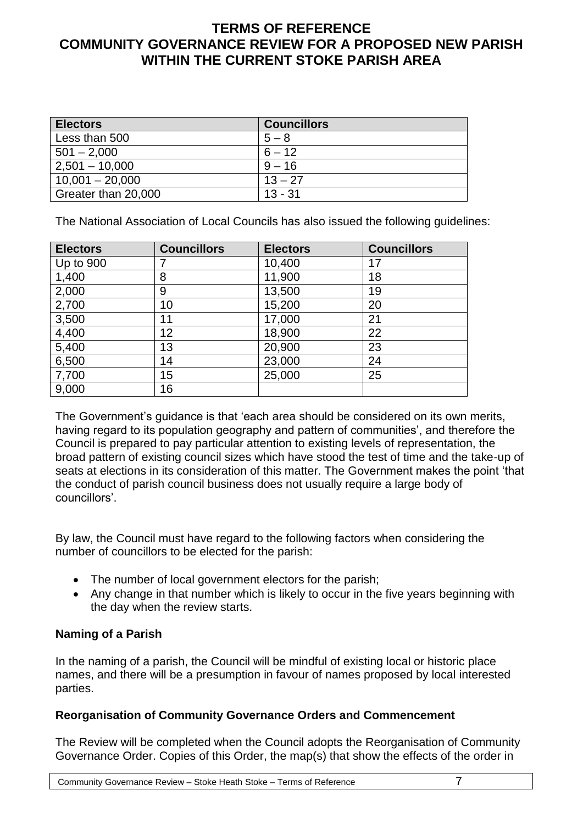| <b>Electors</b>     | <b>Councillors</b> |
|---------------------|--------------------|
| Less than 500       | $5 - 8$            |
| $501 - 2,000$       | $6 - 12$           |
| $2,501 - 10,000$    | $9 - 16$           |
| $10,001 - 20,000$   | $13 - 27$          |
| Greater than 20,000 | $13 - 31$          |

The National Association of Local Councils has also issued the following guidelines:

| <b>Electors</b> | <b>Councillors</b> | <b>Electors</b> | <b>Councillors</b> |
|-----------------|--------------------|-----------------|--------------------|
| Up to 900       |                    | 10,400          | 17                 |
| 1,400           | 8                  | 11,900          | 18                 |
| 2,000           | 9                  | 13,500          | 19                 |
| 2,700           | 10                 | 15,200          | 20                 |
| 3,500           | 11                 | 17,000          | 21                 |
| 4,400           | 12                 | 18,900          | 22                 |
| 5,400           | 13                 | 20,900          | 23                 |
| 6,500           | 14                 | 23,000          | 24                 |
| 7,700           | 15                 | 25,000          | 25                 |
| 9,000           | 16                 |                 |                    |

The Government's guidance is that 'each area should be considered on its own merits, having regard to its population geography and pattern of communities', and therefore the Council is prepared to pay particular attention to existing levels of representation, the broad pattern of existing council sizes which have stood the test of time and the take-up of seats at elections in its consideration of this matter. The Government makes the point 'that the conduct of parish council business does not usually require a large body of councillors'.

By law, the Council must have regard to the following factors when considering the number of councillors to be elected for the parish:

- The number of local government electors for the parish;
- Any change in that number which is likely to occur in the five years beginning with the day when the review starts.

#### **Naming of a Parish**

In the naming of a parish, the Council will be mindful of existing local or historic place names, and there will be a presumption in favour of names proposed by local interested parties.

#### **Reorganisation of Community Governance Orders and Commencement**

The Review will be completed when the Council adopts the Reorganisation of Community Governance Order. Copies of this Order, the map(s) that show the effects of the order in

Community Governance Review – Stoke Heath Stoke – Terms of Reference 7